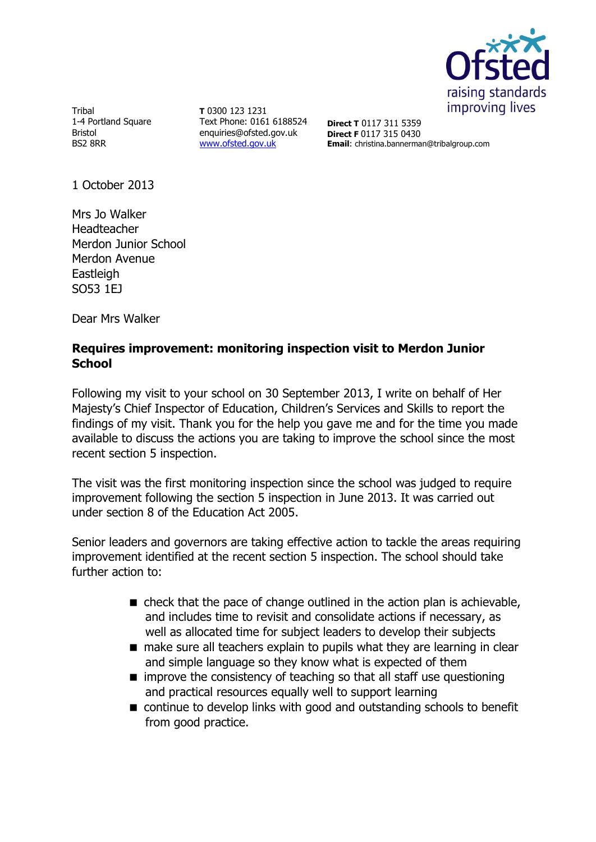

Tribal 1-4 Portland Square Bristol BS2 8RR

**T** 0300 123 1231 Text Phone: 0161 6188524 enquiries@ofsted.gov.uk [www.ofsted.gov.uk](http://www.ofsted.gov.uk/)

**Direct T** 0117 311 5359 **Direct F** 0117 315 0430 **Email**: christina.bannerman@tribalgroup.com

1 October 2013

Mrs Jo Walker Headteacher Merdon Junior School Merdon Avenue Eastleigh SO53 1EJ

Dear Mrs Walker

# **Requires improvement: monitoring inspection visit to Merdon Junior School**

Following my visit to your school on 30 September 2013, I write on behalf of Her Majesty's Chief Inspector of Education, Children's Services and Skills to report the findings of my visit. Thank you for the help you gave me and for the time you made available to discuss the actions you are taking to improve the school since the most recent section 5 inspection.

The visit was the first monitoring inspection since the school was judged to require improvement following the section 5 inspection in June 2013. It was carried out under section 8 of the Education Act 2005.

Senior leaders and governors are taking effective action to tackle the areas requiring improvement identified at the recent section 5 inspection. The school should take further action to:

- $\blacksquare$  check that the pace of change outlined in the action plan is achievable, and includes time to revisit and consolidate actions if necessary, as well as allocated time for subject leaders to develop their subjects
- make sure all teachers explain to pupils what they are learning in clear and simple language so they know what is expected of them
- $\blacksquare$  improve the consistency of teaching so that all staff use questioning and practical resources equally well to support learning
- continue to develop links with good and outstanding schools to benefit from good practice.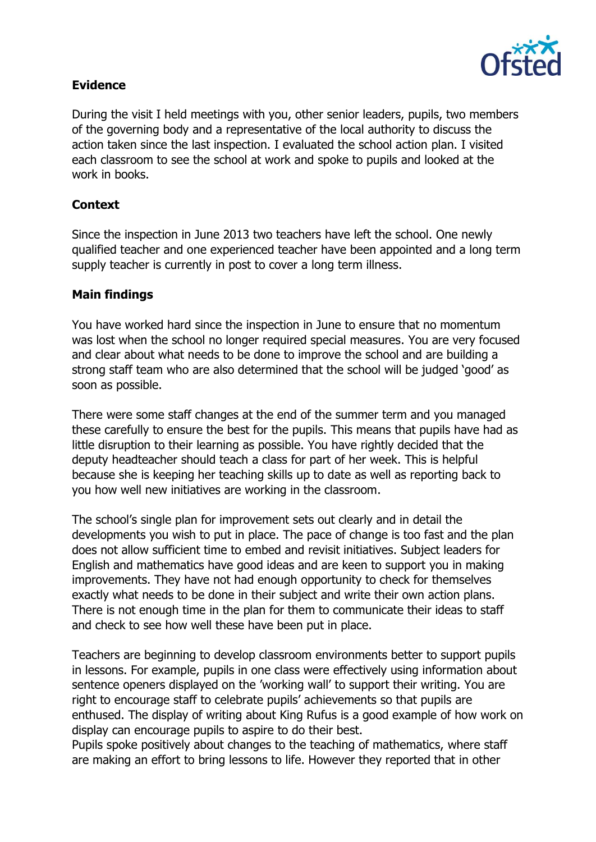

# **Evidence**

During the visit I held meetings with you, other senior leaders, pupils, two members of the governing body and a representative of the local authority to discuss the action taken since the last inspection. I evaluated the school action plan. I visited each classroom to see the school at work and spoke to pupils and looked at the work in books.

# **Context**

Since the inspection in June 2013 two teachers have left the school. One newly qualified teacher and one experienced teacher have been appointed and a long term supply teacher is currently in post to cover a long term illness.

### **Main findings**

You have worked hard since the inspection in June to ensure that no momentum was lost when the school no longer required special measures. You are very focused and clear about what needs to be done to improve the school and are building a strong staff team who are also determined that the school will be judged 'good' as soon as possible.

There were some staff changes at the end of the summer term and you managed these carefully to ensure the best for the pupils. This means that pupils have had as little disruption to their learning as possible. You have rightly decided that the deputy headteacher should teach a class for part of her week. This is helpful because she is keeping her teaching skills up to date as well as reporting back to you how well new initiatives are working in the classroom.

The school's single plan for improvement sets out clearly and in detail the developments you wish to put in place. The pace of change is too fast and the plan does not allow sufficient time to embed and revisit initiatives. Subject leaders for English and mathematics have good ideas and are keen to support you in making improvements. They have not had enough opportunity to check for themselves exactly what needs to be done in their subject and write their own action plans. There is not enough time in the plan for them to communicate their ideas to staff and check to see how well these have been put in place.

Teachers are beginning to develop classroom environments better to support pupils in lessons. For example, pupils in one class were effectively using information about sentence openers displayed on the 'working wall' to support their writing. You are right to encourage staff to celebrate pupils' achievements so that pupils are enthused. The display of writing about King Rufus is a good example of how work on display can encourage pupils to aspire to do their best.

Pupils spoke positively about changes to the teaching of mathematics, where staff are making an effort to bring lessons to life. However they reported that in other